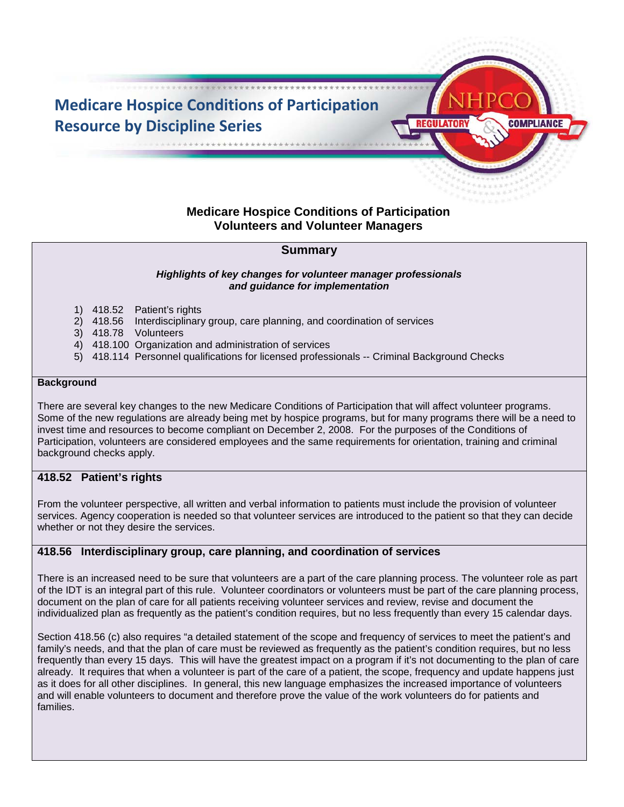

# **Medicare Hospice Conditions of Participation Volunteers and Volunteer Managers**

# **Summary**

#### *Highlights of key changes for volunteer manager professionals and guidance for implementation*

- 1) 418.52 Patient's rights
- 2) 418.56 Interdisciplinary group, care planning, and coordination of services
- 3) 418.78 Volunteers
- 4) 418.100 Organization and administration of services
- 5) 418.114 Personnel qualifications for licensed professionals -- Criminal Background Checks

#### **Background**

There are several key changes to the new Medicare Conditions of Participation that will affect volunteer programs. Some of the new regulations are already being met by hospice programs, but for many programs there will be a need to invest time and resources to become compliant on December 2, 2008. For the purposes of the Conditions of Participation, volunteers are considered employees and the same requirements for orientation, training and criminal background checks apply.

### **418.52 Patient's rights**

From the volunteer perspective, all written and verbal information to patients must include the provision of volunteer services. Agency cooperation is needed so that volunteer services are introduced to the patient so that they can decide whether or not they desire the services.

### **418.56 Interdisciplinary group, care planning, and coordination of services**

There is an increased need to be sure that volunteers are a part of the care planning process. The volunteer role as part of the IDT is an integral part of this rule. Volunteer coordinators or volunteers must be part of the care planning process, document on the plan of care for all patients receiving volunteer services and review, revise and document the individualized plan as frequently as the patient's condition requires, but no less frequently than every 15 calendar days.

Section 418.56 (c) also requires "a detailed statement of the scope and frequency of services to meet the patient's and family's needs, and that the plan of care must be reviewed as frequently as the patient's condition requires, but no less frequently than every 15 days. This will have the greatest impact on a program if it's not documenting to the plan of care already. It requires that when a volunteer is part of the care of a patient, the scope, frequency and update happens just as it does for all other disciplines. In general, this new language emphasizes the increased importance of volunteers and will enable volunteers to document and therefore prove the value of the work volunteers do for patients and families.